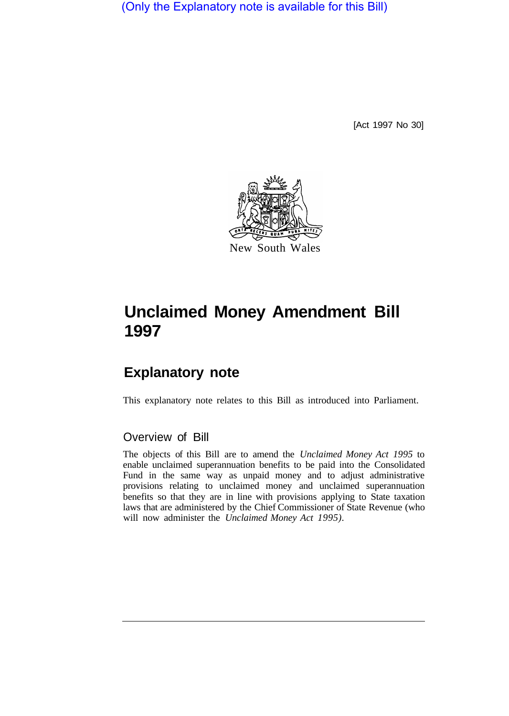(Only the Explanatory note is available for this Bill)

[Act 1997 No 30]



# **Unclaimed Money Amendment Bill 1997**

# **Explanatory note**

This explanatory note relates to this Bill as introduced into Parliament.

## Overview of Bill

The objects of this Bill are to amend the *Unclaimed Money Act 1995* to enable unclaimed superannuation benefits to be paid into the Consolidated Fund in the same way as unpaid money and to adjust administrative provisions relating to unclaimed money and unclaimed superannuation benefits so that they are in line with provisions applying to State taxation laws that are administered by the Chief Commissioner of State Revenue (who will now administer the *Unclaimed Money Act 1995).*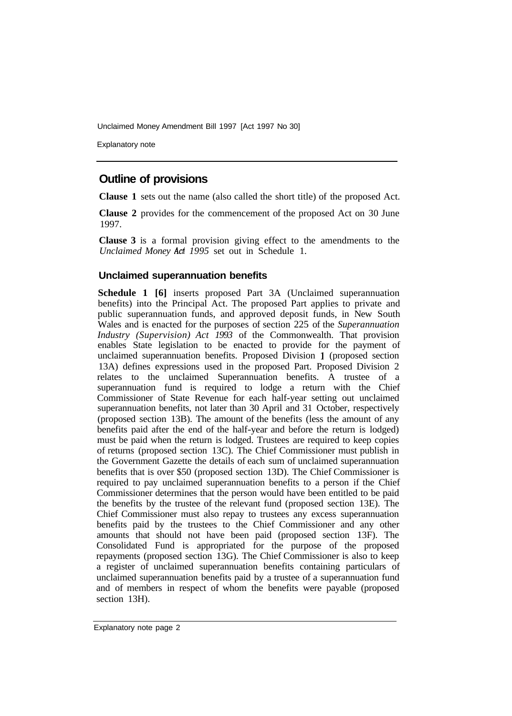Unclaimed Money Amendment Bill 1997 [Act 1997 No 30]

Explanatory note

# **Outline of provisions**

**Clause 1** sets out the name (also called the short title) of the proposed Act.

**Clause 2** provides for the commencement of the proposed Act on 30 June 1997.

**Clause 3** is a formal provision giving effect to the amendments to the *Unclaimed Money Act 1995* set out in Schedule 1.

#### **Unclaimed superannuation benefits**

**Schedule 1 [6]** inserts proposed Part 3A (Unclaimed superannuation benefits) into the Principal Act. The proposed Part applies to private and public superannuation funds, and approved deposit funds, in New South Wales and is enacted for the purposes of section 225 of the *Superannuation Industry (Supervision) Act 1993* of the Commonwealth. That provision enables State legislation to be enacted to provide for the payment of unclaimed superannuation benefits. Proposed Division l (proposed section 13A) defines expressions used in the proposed Part. Proposed Division 2 relates to the unclaimed Superannuation benefits. A trustee of a superannuation fund is required to lodge a return with the Chief Commissioner of State Revenue for each half-year setting out unclaimed superannuation benefits, not later than 30 April and 31 October, respectively (proposed section 13B). The amount of the benefits (less the amount of any benefits paid after the end of the half-year and before the return is lodged) must be paid when the return is lodged. Trustees are required to keep copies of returns (proposed section 13C). The Chief Commissioner must publish in the Government Gazette the details of each sum of unclaimed superannuation benefits that is over \$50 (proposed section 13D). The Chief Commissioner is required to pay unclaimed superannuation benefits to a person if the Chief Commissioner determines that the person would have been entitled to be paid the benefits by the trustee of the relevant fund (proposed section 13E). The Chief Commissioner must also repay to trustees any excess superannuation benefits paid by the trustees to the Chief Commissioner and any other amounts that should not have been paid (proposed section 13F). The Consolidated Fund is appropriated for the purpose of the proposed repayments (proposed section 13G). The Chief Commissioner is also to keep a register of unclaimed superannuation benefits containing particulars of unclaimed superannuation benefits paid by a trustee of a superannuation fund and of members in respect of whom the benefits were payable (proposed section 13H).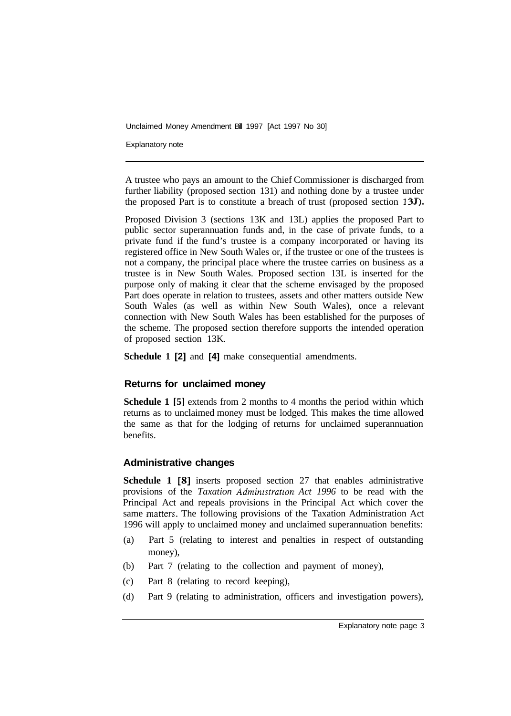Unclaimed Money Amendment Bill 1997 [Act 1997 No 30]

Explanatory note

A trustee who pays an amount to the Chief Commissioner is discharged from further liability (proposed section 131) and nothing done by a trustee under the proposed Part is to constitute a breach of trust (proposed section 135).

Proposed Division 3 (sections 13K and 13L) applies the proposed Part to public sector superannuation funds and, in the case of private funds, to a private fund if the fund's trustee is a company incorporated or having its registered office in New South Wales or, if the trustee or one of the trustees is not a company, the principal place where the trustee carries on business as a trustee is in New South Wales. Proposed section 13L is inserted for the purpose only of making it clear that the scheme envisaged by the proposed Part does operate in relation to trustees, assets and other matters outside New South Wales (as well as within New South Wales), once a relevant connection with New South Wales has been established for the purposes of the scheme. The proposed section therefore supports the intended operation of proposed section 13K.

**Schedule 1 [2]** and **[4]** make consequential amendments.

#### **Returns for unclaimed money**

**Schedule 1 [5]** extends from 2 months to 4 months the period within which returns as to unclaimed money must be lodged. This makes the time allowed the same as that for the lodging of returns for unclaimed superannuation benefits.

#### **Administrative changes**

**Schedule 1 [8]** inserts proposed section 27 that enables administrative provisions of the *Taxation Administration Act 1996* to be read with the Principal Act and repeals provisions in the Principal Act which cover the same matters. The following provisions of the Taxation Administration Act 1996 will apply to unclaimed money and unclaimed superannuation benefits:

- (a) Part 5 (relating to interest and penalties in respect of outstanding money),
- (b) Part 7 (relating to the collection and payment of money),
- (c) Part 8 (relating to record keeping),
- (d) Part 9 (relating to administration, officers and investigation powers),